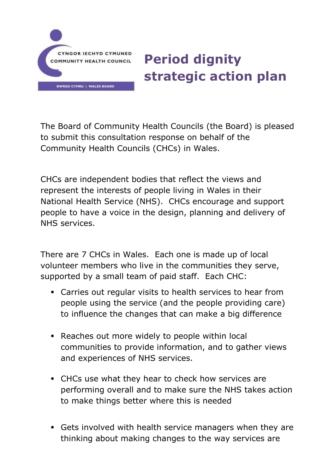

# **Period dignity strategic action plan**

The Board of Community Health Councils (the Board) is pleased to submit this consultation response on behalf of the Community Health Councils (CHCs) in Wales.

CHCs are independent bodies that reflect the views and represent the interests of people living in Wales in their National Health Service (NHS). CHCs encourage and support people to have a voice in the design, planning and delivery of NHS services.

There are 7 CHCs in Wales. Each one is made up of local volunteer members who live in the communities they serve, supported by a small team of paid staff. Each CHC:

- Carries out regular visits to health services to hear from people using the service (and the people providing care) to influence the changes that can make a big difference
- Reaches out more widely to people within local communities to provide information, and to gather views and experiences of NHS services.
- CHCs use what they hear to check how services are performing overall and to make sure the NHS takes action to make things better where this is needed
- Gets involved with health service managers when they are thinking about making changes to the way services are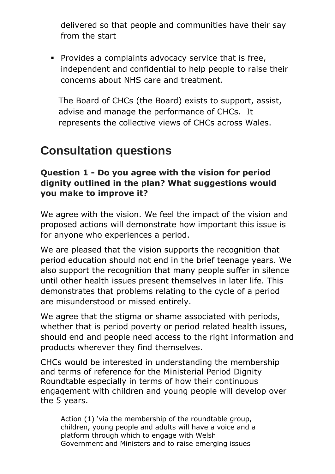delivered so that people and communities have their say from the start

 Provides a complaints advocacy service that is free, independent and confidential to help people to raise their concerns about NHS care and treatment.

The Board of CHCs (the Board) exists to support, assist, advise and manage the performance of CHCs. It represents the collective views of CHCs across Wales.

# **Consultation questions**

#### **Question 1 - Do you agree with the vision for period dignity outlined in the plan? What suggestions would you make to improve it?**

We agree with the vision. We feel the impact of the vision and proposed actions will demonstrate how important this issue is for anyone who experiences a period.

We are pleased that the vision supports the recognition that period education should not end in the brief teenage years. We also support the recognition that many people suffer in silence until other health issues present themselves in later life. This demonstrates that problems relating to the cycle of a period are misunderstood or missed entirely.

We agree that the stigma or shame associated with periods, whether that is period poverty or period related health issues, should end and people need access to the right information and products wherever they find themselves.

CHCs would be interested in understanding the membership and terms of reference for the Ministerial Period Dignity Roundtable especially in terms of how their continuous engagement with children and young people will develop over the 5 years.

Action (1) 'via the membership of the roundtable group, children, young people and adults will have a voice and a platform through which to engage with Welsh Government and Ministers and to raise emerging issues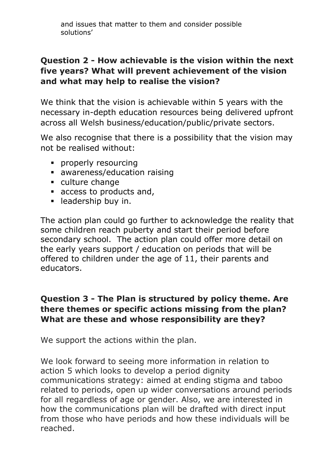and issues that matter to them and consider possible solutions'

#### **Question 2 - How achievable is the vision within the next five years? What will prevent achievement of the vision and what may help to realise the vision?**

We think that the vision is achievable within 5 years with the necessary in-depth education resources being delivered upfront across all Welsh business/education/public/private sectors.

We also recognise that there is a possibility that the vision may not be realised without:

- **•** properly resourcing
- awareness/education raising
- culture change
- access to products and,
- **-** leadership buy in.

The action plan could go further to acknowledge the reality that some children reach puberty and start their period before secondary school. The action plan could offer more detail on the early years support / education on periods that will be offered to children under the age of 11, their parents and educators.

#### **Question 3 - The Plan is structured by policy theme. Are there themes or specific actions missing from the plan? What are these and whose responsibility are they?**

We support the actions within the plan.

We look forward to seeing more information in relation to action 5 which looks to develop a period dignity communications strategy: aimed at ending stigma and taboo related to periods, open up wider conversations around periods for all regardless of age or gender. Also, we are interested in how the communications plan will be drafted with direct input from those who have periods and how these individuals will be reached.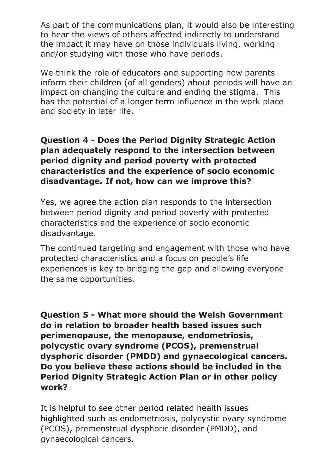As part of the communications plan, it would also be interesting to hear the views of others affected indirectly to understand the impact it may have on those individuals living, working and/or studying with those who have periods.

We think the role of educators and supporting how parents inform their children (of all genders) about periods will have an impact on changing the culture and ending the stigma. This has the potential of a longer term influence in the work place and society in later life.

**Question 4 - Does the Period Dignity Strategic Action plan adequately respond to the intersection between period dignity and period poverty with protected characteristics and the experience of socio economic disadvantage. If not, how can we improve this?**

Yes, we agree the action plan responds to the intersection between period dignity and period poverty with protected characteristics and the experience of socio economic disadvantage.

The continued targeting and engagement with those who have protected characteristics and a focus on people's life experiences is key to bridging the gap and allowing everyone the same opportunities.

**Question 5 - What more should the Welsh Government do in relation to broader health based issues such perimenopause, the menopause, endometriosis, polycystic ovary syndrome (PCOS), premenstrual dysphoric disorder (PMDD) and gynaecological cancers. Do you believe these actions should be included in the Period Dignity Strategic Action Plan or in other policy work?**

It is helpful to see other period related health issues highlighted such as endometriosis, polycystic ovary syndrome (PCOS), premenstrual dysphoric disorder (PMDD), and gynaecological cancers.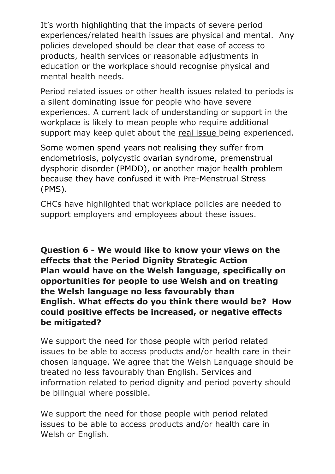It's worth highlighting that the impacts of severe period experiences/related health issues are physical and mental. Any policies developed should be clear that ease of access to products, health services or reasonable adjustments in education or the workplace should recognise physical and mental health needs.

Period related issues or other health issues related to periods is a silent dominating issue for people who have severe experiences. A current lack of understanding or support in the workplace is likely to mean people who require additional support may keep quiet about the real issue being experienced.

Some women spend years not realising they suffer from endometriosis, polycystic ovarian syndrome, premenstrual dysphoric disorder (PMDD), or another major health problem because they have confused it with Pre-Menstrual Stress (PMS).

CHCs have highlighted that workplace policies are needed to support employers and employees about these issues.

**Question 6 - We would like to know your views on the effects that the Period Dignity Strategic Action Plan would have on the Welsh language, specifically on opportunities for people to use Welsh and on treating the Welsh language no less favourably than English. What effects do you think there would be? How could positive effects be increased, or negative effects be mitigated?**

We support the need for those people with period related issues to be able to access products and/or health care in their chosen language. We agree that the Welsh Language should be treated no less favourably than English. Services and information related to period dignity and period poverty should be bilingual where possible.

We support the need for those people with period related issues to be able to access products and/or health care in Welsh or English.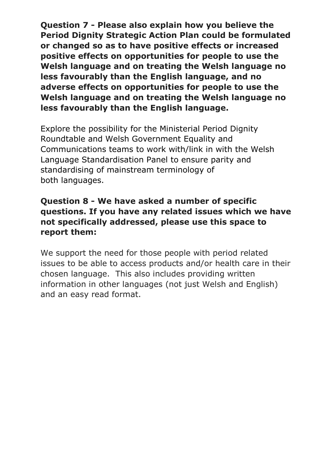**Question 7 - Please also explain how you believe the Period Dignity Strategic Action Plan could be formulated or changed so as to have positive effects or increased positive effects on opportunities for people to use the Welsh language and on treating the Welsh language no less favourably than the English language, and no adverse effects on opportunities for people to use the Welsh language and on treating the Welsh language no less favourably than the English language.**

Explore the possibility for the Ministerial Period Dignity Roundtable and Welsh Government Equality and Communications teams to work with/link in with the Welsh Language Standardisation Panel to ensure parity and standardising of mainstream terminology of both languages.

#### **Question 8 - We have asked a number of specific questions. If you have any related issues which we have not specifically addressed, please use this space to report them:**

We support the need for those people with period related issues to be able to access products and/or health care in their chosen language. This also includes providing written information in other languages (not just Welsh and English) and an easy read format.